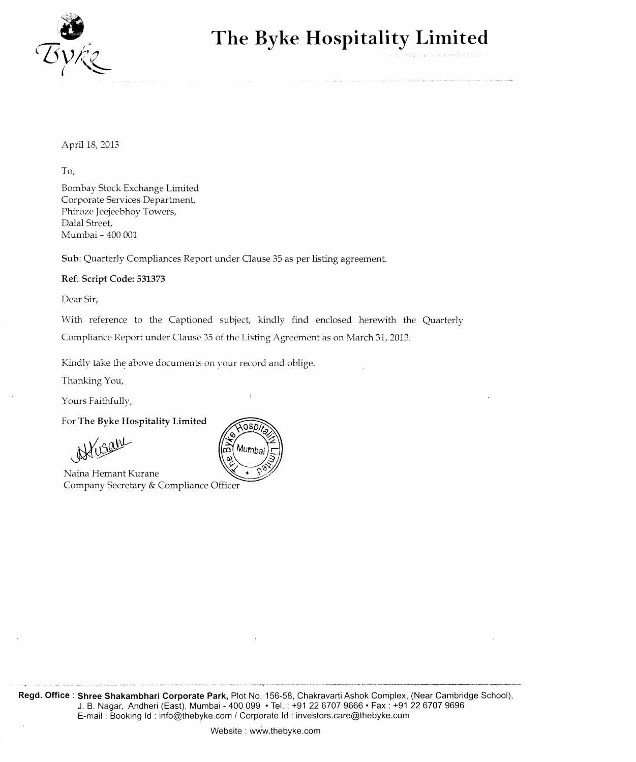

## **The Byke Hospitality Limited**

April 18, 2013

To,

Bombay Stock Exchange Limited Corporate Services Department, Phiroze Jeejeebhoy Towers, Dalal Street, Mumbai - 400 001

Sub: Quarterly Compliances Report under Clause 35 as per listing agreement.

## Ref: Script Code: 531373

Dear Sir,

With reference to the Captioned subject, kindly find enclosed herewith the Quarterly Compliance Report under Clause 35 of the Listing Agreement as on March 31, 2013.

Kindly take the above documents on your record and oblige.

Thanking You,

Yours Faithfully,

For The Byke Hospitality Limited

African

Naina Hemant Kurane Company Secretary & Compliance Officer

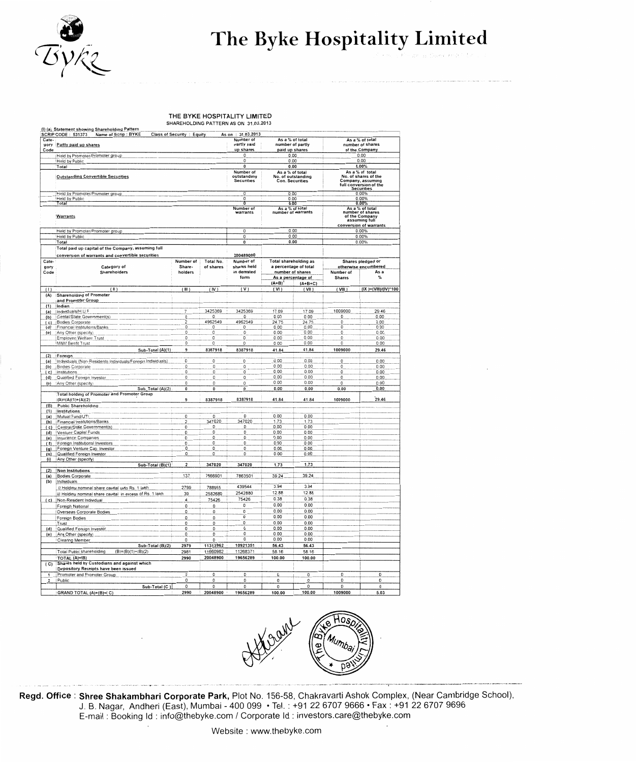

## The Byke Hospitality Limited

## THE BYKE HOSPITALITY LIMITED<br>SHAREHOLDING PATTERN AS ON 31.03.2013

| Cate-<br>Code           | yory Partly paid up shares                                                                                     |                                |                        | Number of<br>partly paid<br>up shares          |                       | As a % of total<br>number of partly<br>paid up shares           |                            | As a % of total<br>number of shares<br>of the Company                                            |
|-------------------------|----------------------------------------------------------------------------------------------------------------|--------------------------------|------------------------|------------------------------------------------|-----------------------|-----------------------------------------------------------------|----------------------------|--------------------------------------------------------------------------------------------------|
|                         | Held by Promoter/Promoter group                                                                                |                                |                        | 0                                              |                       | 0.00                                                            |                            | 0.00                                                                                             |
|                         | Held by Public                                                                                                 |                                |                        | 0                                              |                       | 0.00                                                            |                            | 0.00                                                                                             |
|                         | Total                                                                                                          |                                |                        | $\bf{0}$                                       |                       | 0.00                                                            |                            | 0.00%                                                                                            |
|                         | <b>Outstanding Convertible Securities</b>                                                                      |                                |                        | Number of<br>outstandiny<br><b>Securities</b>  | As a % of total       | No. of outstanding<br><b>Con. Securities</b>                    |                            | As a % of total<br>No. of shares of the<br>Company, assuming<br>full conversion of the           |
|                         |                                                                                                                |                                |                        |                                                |                       |                                                                 |                            | <b>Securities</b>                                                                                |
|                         | Heid by Promoter/Promoter group<br>Held by Public                                                              |                                |                        | 0<br>0                                         |                       | 0.00<br>0.00                                                    |                            | 0.00%<br>0.00%                                                                                   |
|                         | Total                                                                                                          |                                |                        | τ                                              |                       | 0.00                                                            |                            | 0.00%                                                                                            |
|                         | <b>Warrants</b>                                                                                                |                                |                        | Number of<br>warrants                          | As a % of total       | number of warrants                                              |                            | As a % of total<br>number of shares<br>of the Company<br>assuming full<br>conversion of warrants |
|                         | Held by Promoter/Promoter group                                                                                |                                |                        | 0                                              |                       | 0.00                                                            |                            | 0.00%                                                                                            |
|                         | Held by Public                                                                                                 |                                |                        | 0                                              |                       | 0.00                                                            |                            | 0.00%                                                                                            |
|                         | Total                                                                                                          |                                |                        | 0                                              |                       | 0.00                                                            |                            | 0.00%                                                                                            |
|                         | Total paid up capital of the Company, assuming full                                                            |                                |                        |                                                |                       |                                                                 |                            |                                                                                                  |
|                         | conversion of warrants and convertible securities                                                              |                                |                        | 200489000                                      |                       |                                                                 |                            |                                                                                                  |
| Cate-<br>gory<br>Code   | Category of<br>Shareholders                                                                                    | Number of<br>Share-<br>holders | Total No.<br>of shares | Number of<br>shares held<br>in demated<br>form | Total shareholding as | a percentage of total<br>number of shares<br>As a percentage of | Number of<br><b>Shares</b> | Shares pledged or<br>otherwise encumbered<br>As a<br>%                                           |
|                         |                                                                                                                |                                |                        |                                                | $(A+B)^T$             | $(A+B+C)$                                                       |                            |                                                                                                  |
| (1)                     | $($ ii )                                                                                                       | $(\mathbb{B})$                 | (IV)                   | (V)                                            | (VI)                  | (VII)                                                           | (VIII)                     | (IX)=(VIII)/(IV)*100                                                                             |
| (A)                     | Shareholding of Promoter<br>and Promoter Group                                                                 |                                |                        |                                                |                       |                                                                 |                            |                                                                                                  |
| (1)<br>(a)              | <b>Indian</b><br>Individuals/H.U.F                                                                             | 7                              | 3425369                | 3425369                                        | 17.09                 | 17.09                                                           | 1009000                    | 29.46                                                                                            |
| (b)                     | Cental/State Government(s)                                                                                     | 0                              | 0                      | 0                                              | 0.00                  | 0.00                                                            | 0                          | 0.00                                                                                             |
| (c)                     | Bodies Corporate                                                                                               | 2                              | 4962549                | 4962549                                        | 24.75                 | 24.75                                                           | 0                          | 0.00                                                                                             |
| (d)                     | Financial Institutions/Banks                                                                                   | 0                              | 0                      | 0                                              | 0.00                  | 0.00                                                            | 0                          | 0.00                                                                                             |
| (e)                     | : Any Other (specify)                                                                                          | 0                              | 0                      | 0                                              | 0.00                  | 0.00                                                            | 0                          | 0.00                                                                                             |
|                         | Employee Weltare Trust<br>M&M Benfit Trust                                                                     | 0<br>0                         | 0<br>0                 | 0<br>0                                         | 0.00<br>0.00          | 0.00<br>0.00                                                    | 0<br>0                     | 0.00<br>0.00                                                                                     |
|                         | Sub-Total (A)(1)                                                                                               | 9                              | 8387918                | 8387918                                        | 41.84                 | 41.84                                                           | 1009000                    | 29.46                                                                                            |
|                         | (2) Foreign                                                                                                    |                                |                        |                                                |                       |                                                                 |                            |                                                                                                  |
| (a)                     | Individuals (Non-Residents Individuals/Foreign Individuals)                                                    | 0                              | 0                      | $\Omega$                                       | 0.00                  | 0.00                                                            | 0                          | 0.00                                                                                             |
| (b)                     | Bodies Corporate                                                                                               | 0                              | 0                      | $\mathbb O$                                    | 0.00                  | 0.00                                                            | 0                          | 0.00                                                                                             |
|                         | (c) institutions                                                                                               | 0                              | 0                      | 0                                              | 0.00                  | 0.00                                                            | 0                          | 0.00                                                                                             |
| (d)                     | Qualified Foreign Investor                                                                                     | 0                              | 0                      | 0                                              | 0.00                  | 0.00                                                            | 0                          | 0.00                                                                                             |
| (e)                     | Any Other (specify)<br>Sub Total (A)(2)                                                                        | 0<br>0                         | 0<br>0                 | 0<br>0                                         | 0.00<br>0.00          | 0.00<br>0.00                                                    | 0<br>0.00                  | 0.00<br>0.00                                                                                     |
|                         | Total holding of Promoter and Promoter Group<br>$(A)=(A)(1)+(A)(2)$                                            | 9                              | 8387918                | 8387918                                        | 41.84                 | 41.84                                                           | 1009000                    | 29.46                                                                                            |
| (B)                     | <b>Public Shareholding</b>                                                                                     |                                |                        |                                                |                       |                                                                 |                            |                                                                                                  |
| (1)                     | <b>Institutions</b>                                                                                            |                                |                        |                                                |                       |                                                                 |                            |                                                                                                  |
| (a)<br>(b)              | Mutual Fund/UTI<br>Financial Institutions/Banks                                                                | 0<br>2                         | 0<br>347020            | 0<br>347020                                    | 0.00<br>1.73          | 0.00<br>1.73                                                    |                            |                                                                                                  |
|                         | (c) Central/State Government(s)                                                                                | 0                              | 0                      | 0                                              | 0.00                  | 0.00                                                            |                            |                                                                                                  |
| (d)                     | Venture Capital Funds                                                                                          | 0                              | 0                      | 0                                              | 0.00                  | 0.00                                                            |                            |                                                                                                  |
| (e)                     | Insurance Companies                                                                                            | 0                              | 0                      | 0                                              | 0.00                  | 0.00                                                            |                            |                                                                                                  |
| (1)                     | Foreign Institutional Investors                                                                                | 0                              | 0                      | 0                                              | 0.00                  | 0.00<br>0.00                                                    |                            |                                                                                                  |
| (g)<br>(h)              | Foreign Venture Cap. Investor<br>Qualified Foreign Investor                                                    | 0<br>0                         | 0<br>0                 | 0<br>0                                         | 0.00<br>0.00          | 0.00                                                            |                            |                                                                                                  |
| (i)                     | Any Other (specify)                                                                                            |                                |                        |                                                |                       |                                                                 |                            |                                                                                                  |
|                         | Sub-Total (B)(1)                                                                                               | 2                              | 347020                 | 347020                                         | 1.73                  | 1.73                                                            |                            |                                                                                                  |
| (2)                     | Non Institutions                                                                                               |                                |                        |                                                |                       |                                                                 |                            |                                                                                                  |
| (a)                     | <b>Bodies Corporate</b>                                                                                        | 137                            | 7866901                | 7863501                                        | 39.24                 | 39.24                                                           |                            |                                                                                                  |
| (b)                     | Individuals                                                                                                    |                                | 788955                 | 439544                                         | 3.94                  | 3.94                                                            |                            |                                                                                                  |
|                         | i) Holding nominal share capital upto Rs. 1 lakh<br>ii) Holdiny nominal share capital in excess of Rs. 1 lakh. | 2799<br>39                     | 2582680                | 2542880                                        | 12.88                 | 12.88                                                           |                            |                                                                                                  |
|                         | (c)   Non-Resident Individual                                                                                  | 4                              | 75426                  | 75426                                          | 0.38                  | 0.38                                                            |                            |                                                                                                  |
|                         | Foreigh National                                                                                               | 0                              | 0                      | 0                                              | 0.00                  | 0.00                                                            |                            |                                                                                                  |
|                         | Overseas Corporate Bodies                                                                                      | 0                              | 0                      | 0                                              | 0.00                  | 0.00                                                            |                            |                                                                                                  |
|                         | Foreign Bodies                                                                                                 | 0                              | 0                      | 0                                              | 0.00                  | 0.00                                                            |                            |                                                                                                  |
|                         | Trust                                                                                                          | $\Omega$                       | 0                      | 0                                              | 0.00                  | 0.00                                                            |                            |                                                                                                  |
| (d)                     | Qualified Foreign Investor                                                                                     | 0                              | 0                      | 0                                              | 0.00                  | 0.00                                                            |                            |                                                                                                  |
| (e)                     | Any Other (specify)                                                                                            | 0<br>0                         | 0<br>0                 | 0<br>0                                         | 0.00<br>0.00          | 0.00<br>0.00                                                    |                            |                                                                                                  |
|                         | <b>Clearing Member</b><br>Sub-Total (B)(2)                                                                     | 2979                           | 11313962               | 10921351                                       | 56.43                 | 56.43                                                           |                            |                                                                                                  |
|                         | Total Public shareholding<br>$(B)=(B)(1)+(B)(2)$                                                               | 2981                           | 11660982               | 11268371                                       | 58.16                 | 58.16                                                           |                            |                                                                                                  |
|                         | TOTAL (A)+(B)                                                                                                  | 2990                           | 20048900               | 19656289                                       | 100.00                | 100.00                                                          |                            |                                                                                                  |
| (C)                     | Shares held by Custodians and against which<br>Depository Receipts have been issued                            |                                |                        |                                                |                       |                                                                 |                            |                                                                                                  |
| 1                       | Promoter and Promoter Group                                                                                    | 0                              | 0                      | 0                                              | 0                     | 0                                                               | 0                          | 0                                                                                                |
| $\overline{\mathbf{2}}$ | Public                                                                                                         | 0                              | 0                      | 0                                              | 0                     | 0                                                               | 0                          | 0                                                                                                |
|                         | Sub-Total (C)                                                                                                  | 0                              | 0                      | 0                                              | 0                     | 0                                                               | 0                          | 0                                                                                                |
|                         | GRAND TOTAL (A)+(B)+(C)                                                                                        | 2990                           | 20048900               | 19656289                                       | 100.00                | 100.00                                                          | 1009000                    | 5.03                                                                                             |



Regd. Office: Shree Shakambhari Corporate Park, Plot No. 156-58, Chakravarti Ashok Complex, (Near Cambridge School), J. B. Nagar, Andheri (East), Mumbai - 400 099 • Tel. : +91 22 6707 9666 • Fax : +91 22 6707 9696<br>E-mail : Booking Id : info@thebyke.com / Corporate Id : investors.care@thebyke.com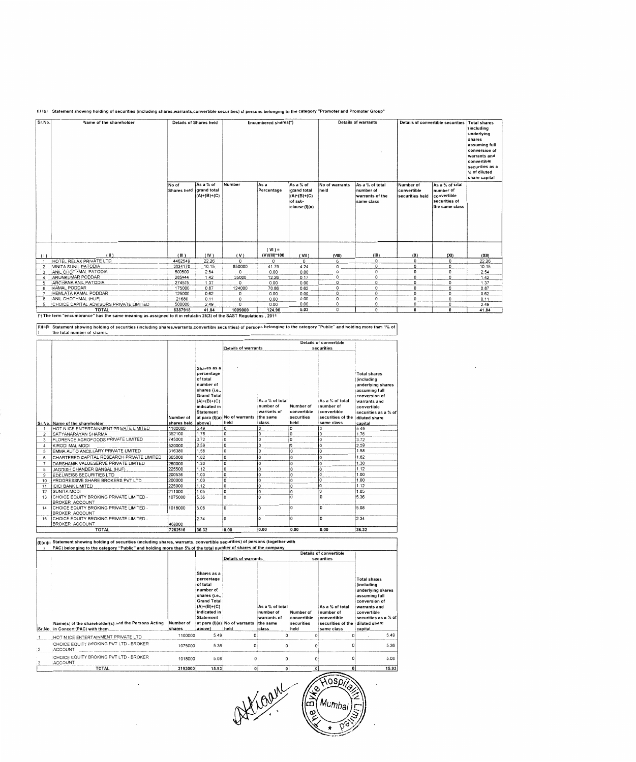

| Sr.No. | Name of the shareholder                 |                      | <b>Details of Shares held</b>             |          | Encumbered shares(*)      |                                                                              |                        | <b>Details of warrants</b>                                    |                                             | <b>Details of convertible securities</b>                                       | <b>Total shares</b><br>(including                                                                                                         |
|--------|-----------------------------------------|----------------------|-------------------------------------------|----------|---------------------------|------------------------------------------------------------------------------|------------------------|---------------------------------------------------------------|---------------------------------------------|--------------------------------------------------------------------------------|-------------------------------------------------------------------------------------------------------------------------------------------|
|        |                                         |                      |                                           |          |                           |                                                                              |                        |                                                               |                                             |                                                                                | underlying<br>shares<br>assuming full<br>conversion of<br>warrants and<br>convertible<br>securities as a<br>% of diluted<br>share capital |
|        |                                         | No of<br>Shares held | As a % of<br>grand total<br>$(A)+(B)+(C)$ | Number   | As a<br>Percentage        | As a % of<br><b>grand</b> total<br>$(A)+(B)+(C)$<br>of sub-<br>clause (I)(a) | No of warrants<br>held | As a % of total<br>number of<br>warrants of the<br>same class | Number of<br>convertible<br>securities held | As a % of total<br>number of<br>convertible<br>securities of<br>the same class |                                                                                                                                           |
| (1)    | $(\parallel)$                           | (III)                | (IV)                                      | (V)      | $(VI) =$<br>(V)/(III)*100 | ( VH )                                                                       | (VIII)                 | (IX)                                                          | (X)                                         | (XI)                                                                           | (X  )                                                                                                                                     |
|        | HOTEL RELAX PRIVATE LTD                 | 4462549              | 22.26                                     | $\Omega$ | 0                         | $\Omega$                                                                     | 0                      | 0                                                             | $\mathbf 0$                                 | 0                                                                              | 22.26                                                                                                                                     |
| 2      | VINITA SUNIL PATODIA                    | 2034170              | 10.15                                     | 850000   | 41.79                     | 4.24                                                                         | 0                      | 0                                                             | $^{\circ}$                                  | 0                                                                              | 10.15                                                                                                                                     |
| 3      | ANIL CHOTHMAL PATODIA                   | 509500               | 2.54                                      | 0        | 0.00                      | 0.00                                                                         | 0                      | 0                                                             | $\Omega$                                    | 0                                                                              | 2.54                                                                                                                                      |
| 4      | ARUNKUMAR PODDAR                        | 285444               | 1.42                                      | 35000    | 12.26                     | 0.17                                                                         | 0                      | 0                                                             | 0                                           | 0                                                                              | 1.42                                                                                                                                      |
| 5      | <b>ARCHANA ANIL PATODIA</b>             | 274575               | 1.37                                      | 0        | 0.00                      | 0.00                                                                         | 0                      | 0                                                             | $\mathbf{0}$                                | 0                                                                              | 1.37                                                                                                                                      |
| 6      | <b>IKAMAL PODDAR</b>                    | 175000               | 0.87                                      | 124000   | 70.86                     | 0.62                                                                         | 0                      | 0                                                             | $\mathbf{0}$                                | $\mathbf{0}$                                                                   | 0.87                                                                                                                                      |
|        | HEMLATA KAMAL PODDAR                    | 125000               | 0.62                                      | 0        | 0.00                      | 0.00                                                                         | 0                      | 0                                                             | $\mathbf{0}$                                | $\mathbf{0}$                                                                   | 0.62                                                                                                                                      |
| 8      | ANIL CHOTHMAL (HUF)                     | 21680                | 0.11                                      | 0        | 0.00                      | 0.00                                                                         | 0                      | 0                                                             | 0                                           | $\mathbf{0}$                                                                   | 0.11                                                                                                                                      |
| 9      | CHOICE CAPITAL ADVISORS PRIVATE LIMITED | 500000               | 2.49                                      | 0        | 0.00                      | 0.00                                                                         | $\circ$                | $\mathbf{0}$                                                  | 0                                           | 0                                                                              | 2.49                                                                                                                                      |
|        | <b>TOTAL</b>                            | 8387918              | 41.84                                     | 1009000  | 124.90                    | 5.03                                                                         | 0                      | $\mathbf{0}$                                                  | 0                                           | $\Omega$                                                                       | 41.84                                                                                                                                     |

(l)(c)(i Statement showing holding of securities (including shares,warrants,convertible securities) of persons belonging to the category "Public" and holding more than 1% of<br>) the total number of shares.

|                |                                                                  |             |                    |                                        |                 |             | Details of convertible |                      |
|----------------|------------------------------------------------------------------|-------------|--------------------|----------------------------------------|-----------------|-------------|------------------------|----------------------|
|                |                                                                  |             |                    | Details of warrants                    |                 |             | securities             |                      |
|                |                                                                  |             |                    |                                        |                 |             |                        |                      |
|                |                                                                  |             |                    |                                        |                 |             |                        |                      |
|                |                                                                  |             | Shares as a        |                                        |                 |             |                        |                      |
|                |                                                                  |             | percentage         |                                        |                 |             |                        | <b>Total shares</b>  |
|                |                                                                  |             | of total           |                                        |                 |             |                        | (including           |
|                |                                                                  |             | number of          |                                        |                 |             |                        | underlying shares    |
|                |                                                                  |             | shares {i.e.,      |                                        |                 |             |                        | assuming full        |
|                |                                                                  |             | <b>Grand Total</b> |                                        |                 |             |                        | conversion of        |
|                |                                                                  |             | $(A)+(B)+(C)$      |                                        | As a % of total |             | As a % of total        | warrants and         |
|                |                                                                  |             | indicated in       |                                        | number of       | Number of   | number of              | convertible          |
|                |                                                                  |             | Statement          |                                        | warrants of     | convertible | convertible            | securities as a % of |
|                |                                                                  | Number of   |                    | at para (I)(a) No of warrants the same |                 | securities  | securities of the      | diluted share        |
|                | Sr.No. Name of the shareholder                                   | shares held | above}             | held                                   | class           | held        | same class             | capital              |
|                | HOT N ICE ENTERTAINMENT PRIVATE LIMITED                          | 1100000     | 549                | ١o                                     | O               | o           | $\Omega$               | 5.49                 |
| 2              | SATYANARAYAN SHARMA                                              | 352100      | 176                | $\overline{0}$                         | 0               | O           | $\Omega$               | 1.76                 |
| 3              | FLORENCE AGROFOODS PRIVATE LIMITED                               | 745000      | 3.72               | İ٥                                     | 0               | 0           | 0                      | 3.72                 |
| 4              | KIRODI MAL MODI                                                  | 520000      | 2.59               | O                                      | 0               | 0           | ١o                     | 2.59                 |
| 5              | EMMA AUTO ANCILLARY PRIVATE LIMITED                              | 316380      | 1.58               | $\Omega$                               | 0               | O           | ١o                     | 1.58                 |
| 6              | CHARTERED CAPITAL RESEARCH PRIVATE LIMITED                       | 365000      | 1.82               | $\Omega$                               | O               | o           | ١o                     | 1.82                 |
| $\overline{7}$ | DARSHANIK VALUESERVE PRIVATE LIMITED                             | 260000      | 1.30               | 0                                      | $\overline{0}$  | O           | $\Omega$               | 1.30                 |
| 8              | JAGDISH CHANDER BANSAL (HUF)                                     | 225500      | 1.12               | 0                                      | $\overline{0}$  | 0           | $\mathbf{0}$           | 1.12                 |
| 9              | EDELWEISS SECURITIES LTD                                         | 200536      | 1.00               | 0                                      | O               | 0           | 0                      | 1.00                 |
| 10             | PROGRESSIVE SHARE BROKERS PVT LTD                                | 200000      | 1.00               | 0                                      | 0               | 0           | $\Omega$               | 1.00                 |
| 11             | <b>ICICI BANK LIMITED</b>                                        | 225000      | 1.12               | D                                      | $\overline{0}$  | ŋ           | $\Omega$               | 1.12                 |
| 12             | <b>SUNITA MODI</b>                                               | 211000      | 1.05               | ١o                                     | $\Omega$        | 0           | $\Omega$               | 1.05                 |
| 13             | CHOICE EQUITY BROKING PRIVATE LIMITED -<br><b>BROKER ACCOUNT</b> | 1075000     | 5.36               |                                        | ١o              | 0           | $\Omega$               | 5.36                 |
| 14             | CHOICE EQUITY BROKING PRIVATE LIMITED -                          | 1018000     | 5.08               | I۵                                     | ١o              | 0           | ١o                     | 5.08                 |
|                | <b>BROKER ACCOUNT</b>                                            |             |                    |                                        |                 |             |                        |                      |
| 15             | CHOICE EQUITY BROKING PRIVATE LIMITED -                          |             | 2.34               | ١o                                     | 0               | 0           | ١o                     | 2.34                 |
|                | <b>BROKER ACCOUNT</b>                                            | 469000      |                    |                                        |                 |             |                        |                      |
|                | <b>TOTAL</b>                                                     | 7282516     | 36.32              | 0.00                                   | 0.00            | 0.00        | 0.00                   | 36.32                |

| (1)(c)(ii)     | Statement showing holding of securities (including shares, warrants, convertible securities) of persons (together with<br>PAC) belonging to the category "Public" and holding more than 5% of the total number of shares of the company |                     |                                                                                                                                                          |                                       |                                                                  |                                                |                                                                                |                                                                                                                                                                             |
|----------------|-----------------------------------------------------------------------------------------------------------------------------------------------------------------------------------------------------------------------------------------|---------------------|----------------------------------------------------------------------------------------------------------------------------------------------------------|---------------------------------------|------------------------------------------------------------------|------------------------------------------------|--------------------------------------------------------------------------------|-----------------------------------------------------------------------------------------------------------------------------------------------------------------------------|
|                |                                                                                                                                                                                                                                         |                     |                                                                                                                                                          | <b>Details of warrants</b>            |                                                                  |                                                | Details of convertible<br>securities                                           |                                                                                                                                                                             |
|                | Name(s) of the shareholder(s) and the Persons Acting<br>Sr.No. in Concert (PAC) with them                                                                                                                                               | Number of<br>shares | Shares as a<br>percentage<br>of total<br>number of<br>shares {i.e.,<br><b>Grand Total</b><br>$(A)+(B)+(C)$<br>indicated in<br><b>Statement</b><br>above) | at para (I)(a) No of warrants<br>held | As a % of total<br>number of<br>warrants of<br>the same<br>class | Number of<br>convertible<br>securities<br>held | As a % of total<br>number of<br>convertible<br>securities of the<br>same class | <b>Total shares</b><br>(including<br>underlying shares<br>assuming full<br>conversion of<br>warrants and<br>convertible<br>securities as a % of<br>diluted share<br>capital |
|                | HOT N ICE ENTERTAINMENT PRIVATE LTD                                                                                                                                                                                                     | 1100000             | 5.49                                                                                                                                                     |                                       |                                                                  |                                                |                                                                                | 5.49                                                                                                                                                                        |
| $\overline{2}$ | CHOICE EQUITY BROKING PVT LTD - BROKER<br><b>ACCOUNT</b>                                                                                                                                                                                | 1075000             | 5.36                                                                                                                                                     |                                       |                                                                  |                                                |                                                                                | 5.36                                                                                                                                                                        |
|                | CHOICE EQUITY BROKING PVT LTD - BROKER<br>ACCOUNT                                                                                                                                                                                       | 1018000             | 5.08                                                                                                                                                     |                                       |                                                                  |                                                |                                                                                | 5.08                                                                                                                                                                        |
|                | <b>TOTAL</b>                                                                                                                                                                                                                            | 3193000             | 15.93                                                                                                                                                    | 0                                     | $\mathbf{a}$                                                     | O                                              | 0                                                                              | 15.93                                                                                                                                                                       |

 $\cdot$ 

Kroan Auspit